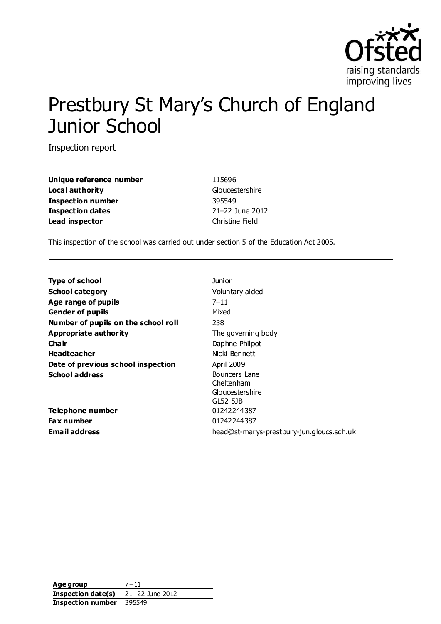

# Prestbury St Mary's Church of England Junior School

Inspection report

**Unique reference number** 115696 **Local authority** Gloucestershire **Inspection number** 395549 **Inspection dates** 21–22 June 2012 **Lead inspector** Christine Field

This inspection of the school was carried out under section 5 of the Education Act 2005.

| <b>Type of school</b>               | Junior                                                     |
|-------------------------------------|------------------------------------------------------------|
| <b>School category</b>              | Voluntary aided                                            |
| Age range of pupils                 | $7 - 11$                                                   |
| <b>Gender of pupils</b>             | Mixed                                                      |
| Number of pupils on the school roll | 238                                                        |
| Appropriate authority               | The governing body                                         |
| Cha ir                              | Daphne Philpot                                             |
| <b>Headteacher</b>                  | Nicki Bennett                                              |
| Date of previous school inspection  | April 2009                                                 |
| <b>School address</b>               | Bouncers Lane<br>Cheltenham<br>Gloucestershire<br>GL52 5JB |
| Telephone number                    | 01242244387                                                |
| Fax number                          | 01242244387                                                |
| Email address                       | head@st-marys-prestbury-jun.gloucs.sch.uk                  |

**Age group** 7−11 **Inspection date(s)** 21−22 June 2012 **Inspection number** 395549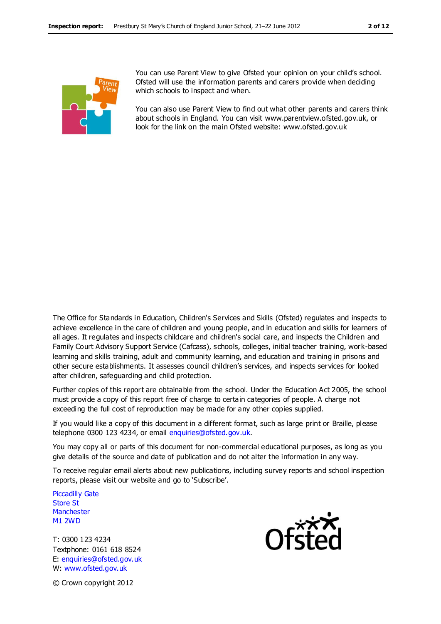

You can use Parent View to give Ofsted your opinion on your child's school. Ofsted will use the information parents and carers provide when deciding which schools to inspect and when.

You can also use Parent View to find out what other parents and carers think about schools in England. You can visit www.parentview.ofsted.gov.uk, or look for the link on the main Ofsted website: www.ofsted.gov.uk

The Office for Standards in Education, Children's Services and Skills (Ofsted) regulates and inspects to achieve excellence in the care of children and young people, and in education and skills for learners of all ages. It regulates and inspects childcare and children's social care, and inspects the Children and Family Court Advisory Support Service (Cafcass), schools, colleges, initial teacher training, work-based learning and skills training, adult and community learning, and education and training in prisons and other secure establishments. It assesses council children's services, and inspects services for looked after children, safeguarding and child protection.

Further copies of this report are obtainable from the school. Under the Education Act 2005, the school must provide a copy of this report free of charge to certain categories of people. A charge not exceeding the full cost of reproduction may be made for any other copies supplied.

If you would like a copy of this document in a different format, such as large print or Braille, please telephone 0300 123 4234, or email enquiries@ofsted.gov.uk.

You may copy all or parts of this document for non-commercial educational purposes, as long as you give details of the source and date of publication and do not alter the information in any way.

To receive regular email alerts about new publications, including survey reports and school inspection reports, please visit our website and go to 'Subscribe'.

Piccadilly Gate Store St **Manchester** M1 2WD

T: 0300 123 4234 Textphone: 0161 618 8524 E: enquiries@ofsted.gov.uk W: www.ofsted.gov.uk



© Crown copyright 2012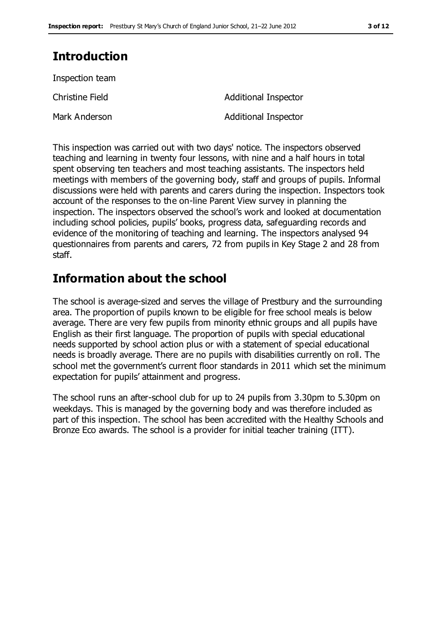# **Introduction**

Inspection team

Mark Anderson **Additional Inspector** 

Christine Field **Additional Inspector** 

This inspection was carried out with two days' notice. The inspectors observed teaching and learning in twenty four lessons, with nine and a half hours in total spent observing ten teachers and most teaching assistants. The inspectors held meetings with members of the governing body, staff and groups of pupils. Informal discussions were held with parents and carers during the inspection. Inspectors took account of the responses to the on-line Parent View survey in planning the inspection. The inspectors observed the school's work and looked at documentation including school policies, pupils' books, progress data, safeguarding records and evidence of the monitoring of teaching and learning. The inspectors analysed 94 questionnaires from parents and carers, 72 from pupils in Key Stage 2 and 28 from staff.

# **Information about the school**

The school is average-sized and serves the village of Prestbury and the surrounding area. The proportion of pupils known to be eligible for free school meals is below average. There are very few pupils from minority ethnic groups and all pupils have English as their first language. The proportion of pupils with special educational needs supported by school action plus or with a statement of special educational needs is broadly average. There are no pupils with disabilities currently on roll. The school met the government's current floor standards in 2011 which set the minimum expectation for pupils' attainment and progress.

The school runs an after-school club for up to 24 pupils from 3.30pm to 5.30pm on weekdays. This is managed by the governing body and was therefore included as part of this inspection. The school has been accredited with the Healthy Schools and Bronze Eco awards. The school is a provider for initial teacher training (ITT).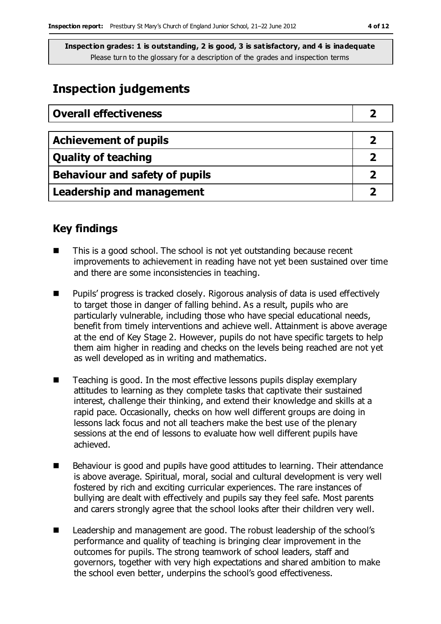# **Inspection judgements**

| <b>Overall effectiveness</b>   |  |
|--------------------------------|--|
|                                |  |
| <b>Achievement of pupils</b>   |  |
| <b>Quality of teaching</b>     |  |
| Behaviour and safety of pupils |  |
| Leadership and management      |  |

## **Key findings**

- $\blacksquare$  This is a good school. The school is not yet outstanding because recent improvements to achievement in reading have not yet been sustained over time and there are some inconsistencies in teaching.
- Pupils' progress is tracked closely. Rigorous analysis of data is used effectively to target those in danger of falling behind. As a result, pupils who are particularly vulnerable, including those who have special educational needs, benefit from timely interventions and achieve well. Attainment is above average at the end of Key Stage 2. However, pupils do not have specific targets to help them aim higher in reading and checks on the levels being reached are not yet as well developed as in writing and mathematics.
- $\blacksquare$  Teaching is good. In the most effective lessons pupils display exemplary attitudes to learning as they complete tasks that captivate their sustained interest, challenge their thinking, and extend their knowledge and skills at a rapid pace. Occasionally, checks on how well different groups are doing in lessons lack focus and not all teachers make the best use of the plenary sessions at the end of lessons to evaluate how well different pupils have achieved.
- Behaviour is good and pupils have good attitudes to learning. Their attendance is above average. Spiritual, moral, social and cultural development is very well fostered by rich and exciting curricular experiences. The rare instances of bullying are dealt with effectively and pupils say they feel safe. Most parents and carers strongly agree that the school looks after their children very well.
- Leadership and management are good. The robust leadership of the school's performance and quality of teaching is bringing clear improvement in the outcomes for pupils. The strong teamwork of school leaders, staff and governors, together with very high expectations and shared ambition to make the school even better, underpins the school's good effectiveness.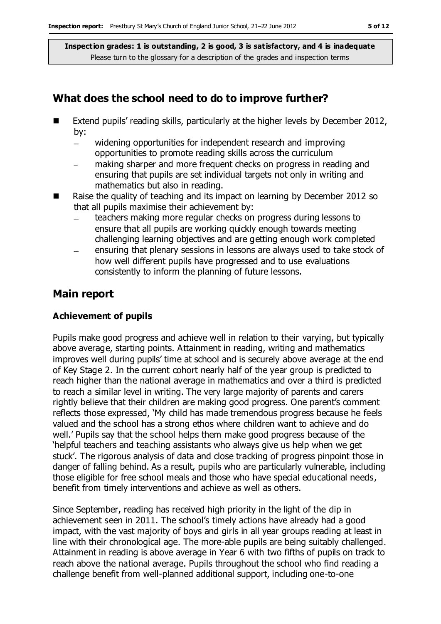## **What does the school need to do to improve further?**

- Extend pupils' reading skills, particularly at the higher levels by December 2012, by:
	- widening opportunities for independent research and improving  $\equiv$ opportunities to promote reading skills across the curriculum
	- making sharper and more frequent checks on progress in reading and ensuring that pupils are set individual targets not only in writing and mathematics but also in reading.
- Raise the quality of teaching and its impact on learning by December 2012 so that all pupils maximise their achievement by:
	- teachers making more regular checks on progress during lessons to ensure that all pupils are working quickly enough towards meeting challenging learning objectives and are getting enough work completed
	- ensuring that plenary sessions in lessons are always used to take stock of how well different pupils have progressed and to use evaluations consistently to inform the planning of future lessons.

## **Main report**

#### **Achievement of pupils**

Pupils make good progress and achieve well in relation to their varying, but typically above average, starting points. Attainment in reading, writing and mathematics improves well during pupils' time at school and is securely above average at the end of Key Stage 2. In the current cohort nearly half of the year group is predicted to reach higher than the national average in mathematics and over a third is predicted to reach a similar level in writing. The very large majority of parents and carers rightly believe that their children are making good progress. One parent's comment reflects those expressed, 'My child has made tremendous progress because he feels valued and the school has a strong ethos where children want to achieve and do well.' Pupils say that the school helps them make good progress because of the 'helpful teachers and teaching assistants who always give us help when we get stuck'. The rigorous analysis of data and close tracking of progress pinpoint those in danger of falling behind. As a result, pupils who are particularly vulnerable, including those eligible for free school meals and those who have special educational needs, benefit from timely interventions and achieve as well as others.

Since September, reading has received high priority in the light of the dip in achievement seen in 2011. The school's timely actions have already had a good impact, with the vast majority of boys and girls in all year groups reading at least in line with their chronological age. The more-able pupils are being suitably challenged. Attainment in reading is above average in Year 6 with two fifths of pupils on track to reach above the national average. Pupils throughout the school who find reading a challenge benefit from well-planned additional support, including one-to-one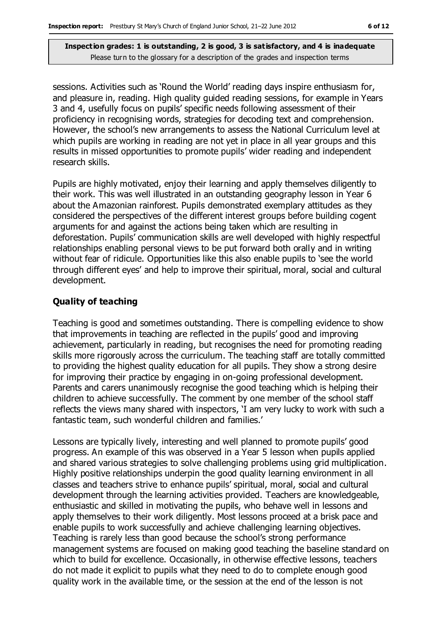sessions. Activities such as 'Round the World' reading days inspire enthusiasm for, and pleasure in, reading. High quality guided reading sessions, for example in Years 3 and 4, usefully focus on pupils' specific needs following assessment of their proficiency in recognising words, strategies for decoding text and comprehension. However, the school's new arrangements to assess the National Curriculum level at which pupils are working in reading are not yet in place in all year groups and this results in missed opportunities to promote pupils' wider reading and independent research skills.

Pupils are highly motivated, enjoy their learning and apply themselves diligently to their work. This was well illustrated in an outstanding geography lesson in Year 6 about the Amazonian rainforest. Pupils demonstrated exemplary attitudes as they considered the perspectives of the different interest groups before building cogent arguments for and against the actions being taken which are resulting in deforestation. Pupils' communication skills are well developed with highly respectful relationships enabling personal views to be put forward both orally and in writing without fear of ridicule. Opportunities like this also enable pupils to 'see the world through different eyes' and help to improve their spiritual, moral, social and cultural development.

#### **Quality of teaching**

Teaching is good and sometimes outstanding. There is compelling evidence to show that improvements in teaching are reflected in the pupils' good and improving achievement, particularly in reading, but recognises the need for promoting reading skills more rigorously across the curriculum. The teaching staff are totally committed to providing the highest quality education for all pupils. They show a strong desire for improving their practice by engaging in on-going professional development. Parents and carers unanimously recognise the good teaching which is helping their children to achieve successfully. The comment by one member of the school staff reflects the views many shared with inspectors, 'I am very lucky to work with such a fantastic team, such wonderful children and families.'

Lessons are typically lively, interesting and well planned to promote pupils' good progress. An example of this was observed in a Year 5 lesson when pupils applied and shared various strategies to solve challenging problems using grid multiplication. Highly positive relationships underpin the good quality learning environment in all classes and teachers strive to enhance pupils' spiritual, moral, social and cultural development through the learning activities provided. Teachers are knowledgeable, enthusiastic and skilled in motivating the pupils, who behave well in lessons and apply themselves to their work diligently. Most lessons proceed at a brisk pace and enable pupils to work successfully and achieve challenging learning objectives. Teaching is rarely less than good because the school's strong performance management systems are focused on making good teaching the baseline standard on which to build for excellence. Occasionally, in otherwise effective lessons, teachers do not made it explicit to pupils what they need to do to complete enough good quality work in the available time, or the session at the end of the lesson is not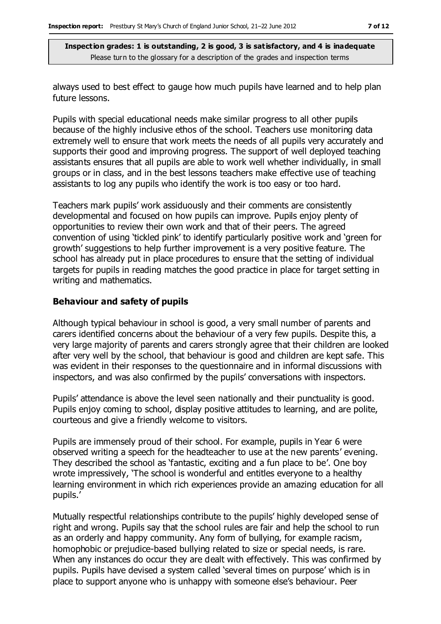always used to best effect to gauge how much pupils have learned and to help plan future lessons.

Pupils with special educational needs make similar progress to all other pupils because of the highly inclusive ethos of the school. Teachers use monitoring data extremely well to ensure that work meets the needs of all pupils very accurately and supports their good and improving progress. The support of well deployed teaching assistants ensures that all pupils are able to work well whether individually, in small groups or in class, and in the best lessons teachers make effective use of teaching assistants to log any pupils who identify the work is too easy or too hard.

Teachers mark pupils' work assiduously and their comments are consistently developmental and focused on how pupils can improve. Pupils enjoy plenty of opportunities to review their own work and that of their peers. The agreed convention of using 'tickled pink' to identify particularly positive work and 'green for growth' suggestions to help further improvement is a very positive feature. The school has already put in place procedures to ensure that the setting of individual targets for pupils in reading matches the good practice in place for target setting in writing and mathematics.

#### **Behaviour and safety of pupils**

Although typical behaviour in school is good, a very small number of parents and carers identified concerns about the behaviour of a very few pupils. Despite this, a very large majority of parents and carers strongly agree that their children are looked after very well by the school, that behaviour is good and children are kept safe. This was evident in their responses to the questionnaire and in informal discussions with inspectors, and was also confirmed by the pupils' conversations with inspectors.

Pupils' attendance is above the level seen nationally and their punctuality is good. Pupils enjoy coming to school, display positive attitudes to learning, and are polite, courteous and give a friendly welcome to visitors.

Pupils are immensely proud of their school. For example, pupils in Year 6 were observed writing a speech for the headteacher to use at the new parents' evening. They described the school as 'fantastic, exciting and a fun place to be'. One boy wrote impressively, 'The school is wonderful and entitles everyone to a healthy learning environment in which rich experiences provide an amazing education for all pupils.'

Mutually respectful relationships contribute to the pupils' highly developed sense of right and wrong. Pupils say that the school rules are fair and help the school to run as an orderly and happy community. Any form of bullying, for example racism, homophobic or prejudice-based bullying related to size or special needs, is rare. When any instances do occur they are dealt with effectively. This was confirmed by pupils. Pupils have devised a system called 'several times on purpose' which is in place to support anyone who is unhappy with someone else's behaviour. Peer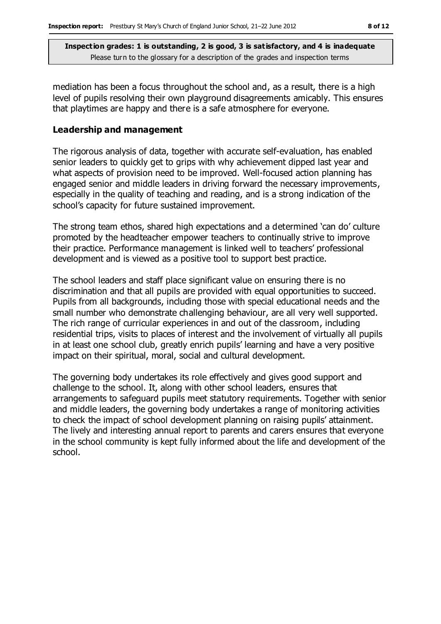mediation has been a focus throughout the school and, as a result, there is a high level of pupils resolving their own playground disagreements amicably. This ensures that playtimes are happy and there is a safe atmosphere for everyone.

#### **Leadership and management**

The rigorous analysis of data, together with accurate self-evaluation, has enabled senior leaders to quickly get to grips with why achievement dipped last year and what aspects of provision need to be improved. Well-focused action planning has engaged senior and middle leaders in driving forward the necessary improvements, especially in the quality of teaching and reading, and is a strong indication of the school's capacity for future sustained improvement.

The strong team ethos, shared high expectations and a determined 'can do' culture promoted by the headteacher empower teachers to continually strive to improve their practice. Performance management is linked well to teachers' professional development and is viewed as a positive tool to support best practice.

The school leaders and staff place significant value on ensuring there is no discrimination and that all pupils are provided with equal opportunities to succeed. Pupils from all backgrounds, including those with special educational needs and the small number who demonstrate challenging behaviour, are all very well supported. The rich range of curricular experiences in and out of the classroom, including residential trips, visits to places of interest and the involvement of virtually all pupils in at least one school club, greatly enrich pupils' learning and have a very positive impact on their spiritual, moral, social and cultural development.

The governing body undertakes its role effectively and gives good support and challenge to the school. It, along with other school leaders, ensures that arrangements to safeguard pupils meet statutory requirements. Together with senior and middle leaders, the governing body undertakes a range of monitoring activities to check the impact of school development planning on raising pupils' attainment. The lively and interesting annual report to parents and carers ensures that everyone in the school community is kept fully informed about the life and development of the school.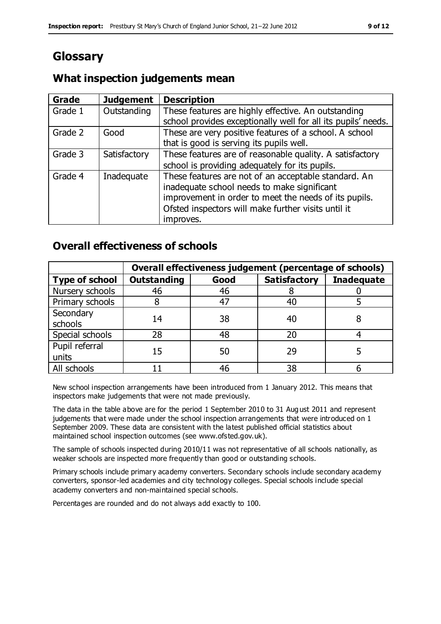# **Glossary**

## **What inspection judgements mean**

| <b>Grade</b> | <b>Judgement</b> | <b>Description</b>                                                                                                   |
|--------------|------------------|----------------------------------------------------------------------------------------------------------------------|
| Grade 1      | Outstanding      | These features are highly effective. An outstanding<br>school provides exceptionally well for all its pupils' needs. |
|              |                  |                                                                                                                      |
| Grade 2      | Good             | These are very positive features of a school. A school                                                               |
|              |                  | that is good is serving its pupils well.                                                                             |
| Grade 3      | Satisfactory     | These features are of reasonable quality. A satisfactory                                                             |
|              |                  | school is providing adequately for its pupils.                                                                       |
| Grade 4      | Inadequate       | These features are not of an acceptable standard. An                                                                 |
|              |                  | inadequate school needs to make significant                                                                          |
|              |                  | improvement in order to meet the needs of its pupils.                                                                |
|              |                  | Ofsted inspectors will make further visits until it                                                                  |
|              |                  | improves.                                                                                                            |

## **Overall effectiveness of schools**

|                       | Overall effectiveness judgement (percentage of schools) |      |                     |                   |
|-----------------------|---------------------------------------------------------|------|---------------------|-------------------|
| <b>Type of school</b> | <b>Outstanding</b>                                      | Good | <b>Satisfactory</b> | <b>Inadequate</b> |
| Nursery schools       | 46                                                      | 46   |                     |                   |
| Primary schools       |                                                         | 47   | 40                  |                   |
| Secondary             | 14                                                      | 38   | 40                  |                   |
| schools               |                                                         |      |                     |                   |
| Special schools       | 28                                                      | 48   | 20                  |                   |
| Pupil referral        | 15                                                      | 50   | 29                  |                   |
| units                 |                                                         |      |                     |                   |
| All schools           |                                                         | 46   | 38                  |                   |

New school inspection arrangements have been introduced from 1 January 2012. This means that inspectors make judgements that were not made previously.

The data in the table above are for the period 1 September 2010 to 31 Aug ust 2011 and represent judgements that were made under the school inspection arrangements that were introduced on 1 September 2009. These data are consistent with the latest published official statistics about maintained school inspection outcomes (see www.ofsted.gov.uk).

The sample of schools inspected during 2010/11 was not representative of all schools nationally, as weaker schools are inspected more frequently than good or outstanding schools.

Primary schools include primary academy converters. Secondary schools include secondary academy converters, sponsor-led academies and city technology colleges. Special schools include special academy converters and non-maintained special schools.

Percentages are rounded and do not always add exactly to 100.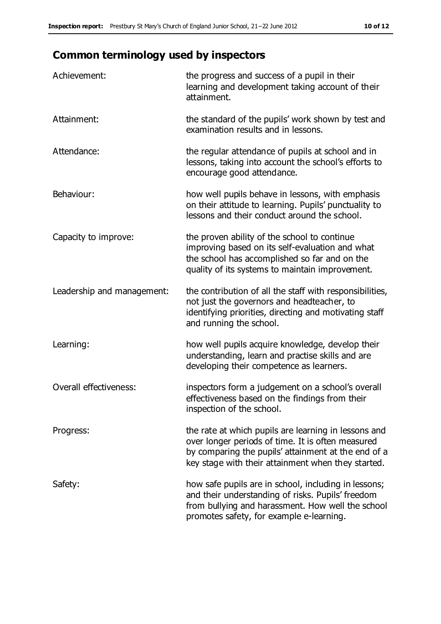# **Common terminology used by inspectors**

| Achievement:                  | the progress and success of a pupil in their<br>learning and development taking account of their<br>attainment.                                                                                                        |
|-------------------------------|------------------------------------------------------------------------------------------------------------------------------------------------------------------------------------------------------------------------|
| Attainment:                   | the standard of the pupils' work shown by test and<br>examination results and in lessons.                                                                                                                              |
| Attendance:                   | the regular attendance of pupils at school and in<br>lessons, taking into account the school's efforts to<br>encourage good attendance.                                                                                |
| Behaviour:                    | how well pupils behave in lessons, with emphasis<br>on their attitude to learning. Pupils' punctuality to<br>lessons and their conduct around the school.                                                              |
| Capacity to improve:          | the proven ability of the school to continue<br>improving based on its self-evaluation and what<br>the school has accomplished so far and on the<br>quality of its systems to maintain improvement.                    |
| Leadership and management:    | the contribution of all the staff with responsibilities,<br>not just the governors and headteacher, to<br>identifying priorities, directing and motivating staff<br>and running the school.                            |
| Learning:                     | how well pupils acquire knowledge, develop their<br>understanding, learn and practise skills and are<br>developing their competence as learners.                                                                       |
| <b>Overall effectiveness:</b> | inspectors form a judgement on a school's overall<br>effectiveness based on the findings from their<br>inspection of the school.                                                                                       |
| Progress:                     | the rate at which pupils are learning in lessons and<br>over longer periods of time. It is often measured<br>by comparing the pupils' attainment at the end of a<br>key stage with their attainment when they started. |
| Safety:                       | how safe pupils are in school, including in lessons;<br>and their understanding of risks. Pupils' freedom<br>from bullying and harassment. How well the school<br>promotes safety, for example e-learning.             |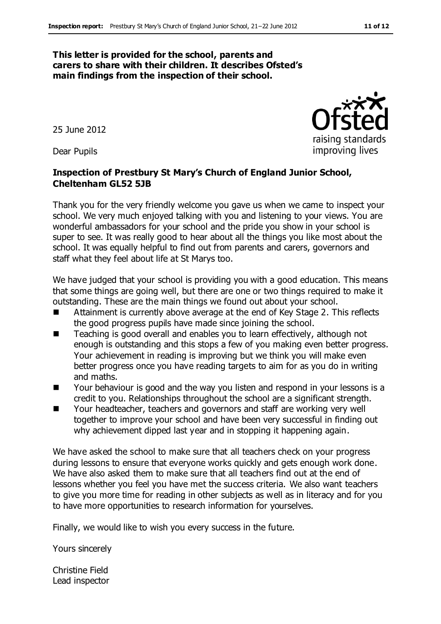#### **This letter is provided for the school, parents and carers to share with their children. It describes Ofsted's main findings from the inspection of their school.**

25 June 2012

Dear Pupils

#### **Inspection of Prestbury St Mary's Church of England Junior School, Cheltenham GL52 5JB**

Thank you for the very friendly welcome you gave us when we came to inspect your school. We very much enjoyed talking with you and listening to your views. You are wonderful ambassadors for your school and the pride you show in your school is super to see. It was really good to hear about all the things you like most about the school. It was equally helpful to find out from parents and carers, governors and staff what they feel about life at St Marys too.

We have judged that your school is providing you with a good education. This means that some things are going well, but there are one or two things required to make it outstanding. These are the main things we found out about your school.

- Attainment is currently above average at the end of Key Stage 2. This reflects the good progress pupils have made since joining the school.
- Teaching is good overall and enables you to learn effectively, although not enough is outstanding and this stops a few of you making even better progress. Your achievement in reading is improving but we think you will make even better progress once you have reading targets to aim for as you do in writing and maths.
- Your behaviour is good and the way you listen and respond in your lessons is a credit to you. Relationships throughout the school are a significant strength.
- Your headteacher, teachers and governors and staff are working very well together to improve your school and have been very successful in finding out why achievement dipped last year and in stopping it happening again.

We have asked the school to make sure that all teachers check on your progress during lessons to ensure that everyone works quickly and gets enough work done. We have also asked them to make sure that all teachers find out at the end of lessons whether you feel you have met the success criteria. We also want teachers to give you more time for reading in other subjects as well as in literacy and for you to have more opportunities to research information for yourselves.

Finally, we would like to wish you every success in the future.

Yours sincerely

Christine Field Lead inspector raising standards improving lives